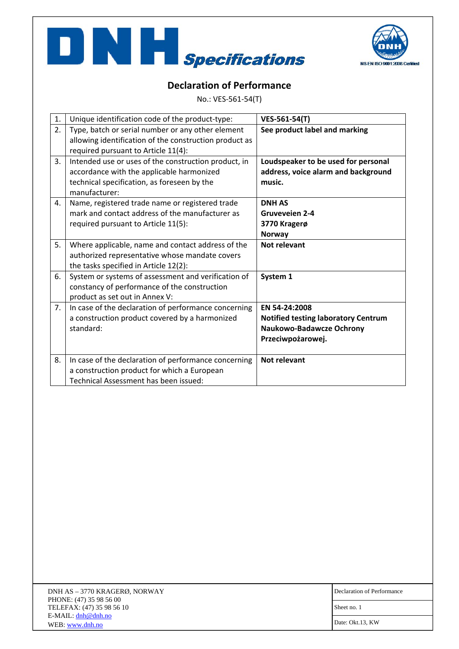



## **Declaration of Performance**

No.: VES‐561‐54(T)

| 1. | Unique identification code of the product-type:                                                                                                                   | <b>VES-561-54(T)</b>                                                                                         |
|----|-------------------------------------------------------------------------------------------------------------------------------------------------------------------|--------------------------------------------------------------------------------------------------------------|
| 2. | Type, batch or serial number or any other element<br>allowing identification of the construction product as<br>required pursuant to Article 11(4):                | See product label and marking                                                                                |
| 3. | Intended use or uses of the construction product, in<br>accordance with the applicable harmonized<br>technical specification, as foreseen by the<br>manufacturer: | Loudspeaker to be used for personal<br>address, voice alarm and background<br>music.                         |
| 4. | Name, registered trade name or registered trade<br>mark and contact address of the manufacturer as<br>required pursuant to Article 11(5):                         | <b>DNH AS</b><br>Gruveveien 2-4<br>3770 Kragerø<br><b>Norway</b>                                             |
| 5. | Where applicable, name and contact address of the<br>authorized representative whose mandate covers<br>the tasks specified in Article 12(2):                      | <b>Not relevant</b>                                                                                          |
| 6. | System or systems of assessment and verification of<br>constancy of performance of the construction<br>product as set out in Annex V:                             | System 1                                                                                                     |
| 7. | In case of the declaration of performance concerning<br>a construction product covered by a harmonized<br>standard:                                               | EN 54-24:2008<br><b>Notified testing laboratory Centrum</b><br>Naukowo-Badawcze Ochrony<br>Przeciwpożarowej. |
| 8. | In case of the declaration of performance concerning<br>a construction product for which a European<br>Technical Assessment has been issued:                      | <b>Not relevant</b>                                                                                          |